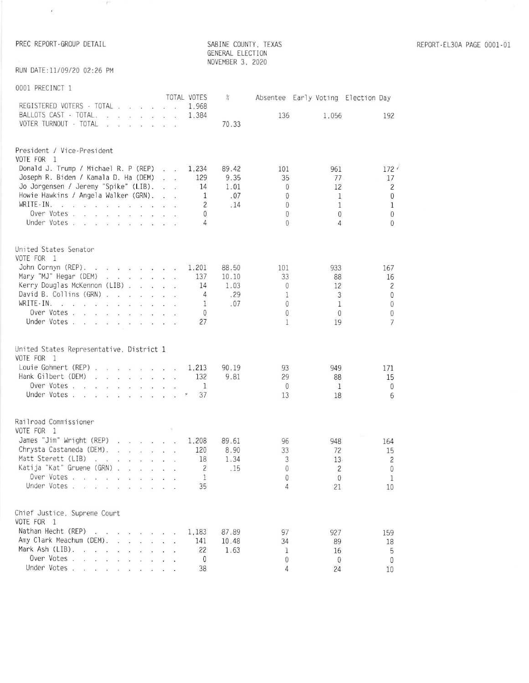$\sim$  100  $\pm$ 

 $\mathcal{C}^{\text{max}}$  . Then

SABINE COUNTY, TEXAS<br>GENERAL ELECTION<br>NOVEMBER 3, 2020

RUN DATE:11/09/20 02:26 PM

## 0001 PRECINCT 1

| REGISTERED VOTERS - TOTAL<br>1.968<br>BALLOTS CAST · TOTAL.<br>1,384                                                                                                                                                                                                               |               |                              |                          | Absentee Early Voting Election Day |
|------------------------------------------------------------------------------------------------------------------------------------------------------------------------------------------------------------------------------------------------------------------------------------|---------------|------------------------------|--------------------------|------------------------------------|
|                                                                                                                                                                                                                                                                                    |               | 136                          | 1.056                    | 192                                |
| VOTER TURNOUT - TOTAL<br>$\mathbf{r}$ . The contract of the contract of the contract of the contract of the contract of the contract of the contract of the contract of the contract of the contract of the contract of the contract of the contract of th                         | 70.33         |                              |                          |                                    |
| President / Vice-President<br>VOTE FOR 1                                                                                                                                                                                                                                           |               |                              |                          |                                    |
| Donald J. Trump / Michael R. P (REP)<br>1,234<br>$\mathbf{r} = \mathbf{r}$                                                                                                                                                                                                         | 89.42         | 101                          | 961                      | 172'                               |
| Joseph R. Biden / Kamala D. Ha (DEM)<br>129<br><b>CONTRACTOR</b>                                                                                                                                                                                                                   | 9.35          | 35                           | 77                       | 17                                 |
| Jo Jorgensen / Jeremy "Spike" (LIB).<br>14<br><b>CONTRACTOR</b>                                                                                                                                                                                                                    | 1.01          | $\mathbf{0}$                 | 12                       | $\overline{c}$                     |
| Howie Hawkins / Angela Walker (GRN).<br>1<br>$\ddot{\phantom{1}}$<br>WRITE-IN.<br>$\overline{c}$                                                                                                                                                                                   | .07<br>.14    | $\overline{0}$               | 1                        | $\mathbf{0}$                       |
| Over Votes<br>0                                                                                                                                                                                                                                                                    |               | $\mathbf{0}$<br>$\mathbf{0}$ | $\mathbf{1}$<br>$\theta$ | $\mathbf{1}$<br>$\mathbf{0}$       |
| Under Votes<br>4                                                                                                                                                                                                                                                                   |               | $\Omega$                     | 4                        | $\theta$                           |
| United States Senator                                                                                                                                                                                                                                                              |               |                              |                          |                                    |
| VOTE FOR 1                                                                                                                                                                                                                                                                         |               |                              |                          |                                    |
| John Cornyn (REP).<br>.<br>1,201                                                                                                                                                                                                                                                   | 88.50         | 101                          | 933                      | 167                                |
| Mary "MJ" Hegar (DEM)<br>137<br>Kerry Douglas McKennon (LIB)<br>14                                                                                                                                                                                                                 | 10.10<br>1.03 | 33<br>$\theta$               | 88<br>12                 | 16<br>$\overline{c}$               |
| David B. Collins (GRN)<br>4                                                                                                                                                                                                                                                        | .29           | 1                            | 3                        | 0                                  |
| WRITE-IN.<br>$\mathbf{1}$<br>$\sim$<br>.                                                                                                                                                                                                                                           | .07           | $\overline{0}$               | $\mathbf{1}$             | $\theta$                           |
| Over Votes<br>$\mathbf{0}$                                                                                                                                                                                                                                                         |               | $\overline{0}$               | $\mathbf{0}$             | 0                                  |
| Under Votes<br>27                                                                                                                                                                                                                                                                  |               | 1                            | 19                       | $\overline{7}$                     |
| United States Representative, District 1                                                                                                                                                                                                                                           |               |                              |                          |                                    |
| VOTE FOR 1                                                                                                                                                                                                                                                                         |               |                              |                          |                                    |
| Louie Gohmert (REP)<br>1,213<br>Hank Gilbert (DEM)<br>132                                                                                                                                                                                                                          | 90.19<br>9.81 | 93<br>29                     | 949<br>88                | 171<br>15                          |
| Over Votes<br>1                                                                                                                                                                                                                                                                    |               | $\overline{0}$               | $\mathbf{1}$             | $\mathbf{0}$                       |
| Under Votes<br>P<br>37                                                                                                                                                                                                                                                             |               | 13                           | 18                       | 6                                  |
| Railroad Commissioner                                                                                                                                                                                                                                                              |               |                              |                          |                                    |
| VOTE FOR 1                                                                                                                                                                                                                                                                         |               |                              |                          |                                    |
| James "Jim" Wright (REP)<br>1,208<br>Chrysta Castaneda (DEM).<br><b>By Book British British</b><br>120                                                                                                                                                                             | 89.61<br>8.90 | 96<br>33                     | 948<br>72                | 164                                |
| Matt Sterett (LIB)<br>$\label{eq:2.1} \mathbf{E} = \mathbf{B} \mathbf{E} = \mathbf{E} - \mathbf{B} \mathbf{E} = \mathbf{E} - \mathbf{B} \mathbf{E} = \mathbf{E} - \mathbf{B} \mathbf{E} = \mathbf{B} \mathbf{E}$<br>18                                                             | 1.34          | 3                            | 13.                      | 15<br>$\overline{2}$               |
| Katija "Kat" Gruene (GRN)<br>2                                                                                                                                                                                                                                                     | .15           | $\theta$                     | $\overline{c}$           | 0                                  |
| Over Votes<br>1                                                                                                                                                                                                                                                                    |               | 0                            | $\theta$                 |                                    |
| Under Votes<br>35                                                                                                                                                                                                                                                                  |               | 4                            | 21                       | 10                                 |
| Chief Justice, Supreme Court                                                                                                                                                                                                                                                       |               |                              |                          |                                    |
| VOTE FOR 1                                                                                                                                                                                                                                                                         |               |                              |                          |                                    |
| Nathan Hecht (REP)<br>1,183<br>$\label{eq:1.1} \begin{array}{cccccccccccccc} \mathcal{W} & \mathcal{W} & \mathcal{W} & \mathcal{W} & \mathcal{W} & \mathcal{W} & \mathcal{W} \end{array}$<br>Amy Clark Meachum (DEM).<br>141<br>and the state of the state<br>$\ddot{\phantom{a}}$ | 87.89         | 97                           | 927                      | 159                                |
| Mark Ash (LIB).<br>22<br>$\mathbf{r} = \mathbf{r}$<br>$x - y - x - y$                                                                                                                                                                                                              | 10.48<br>1.63 | 34<br>1                      | 89<br>16                 | 18<br>5                            |
| Over Votes<br>0                                                                                                                                                                                                                                                                    |               | 0                            | 0                        | 0                                  |
| Under Votes<br>38                                                                                                                                                                                                                                                                  |               | 4                            | 24                       | 10                                 |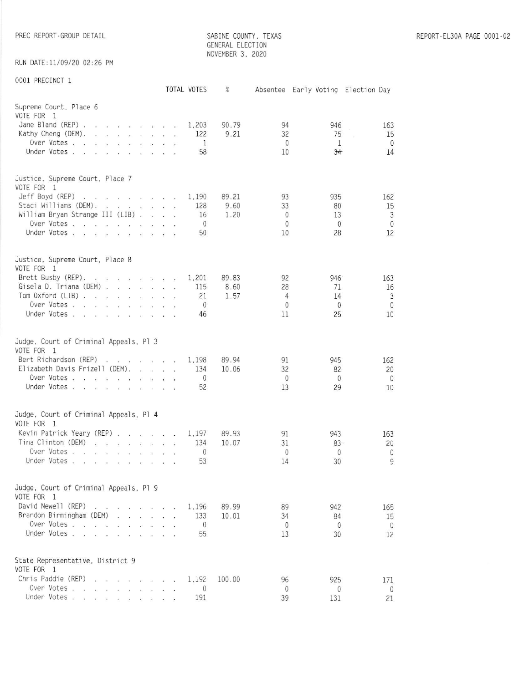SABINE COUNTY, TEXAS GENERAL ELECTION NOVEMBER 3, 2020

RUN DATE: 11/09/20 02:26 PM

0001 PRECINCT 1

| OOD TILLOTING                                                                                                                                                                                                                                                                                                                                                                                                                                                                                                                                                                                                                                                                                                                                                                                                                  |                        | TOTAL VOTES                                | $\%$                  |                                                  | Absentee Early Voting Election Day    |                                      |
|--------------------------------------------------------------------------------------------------------------------------------------------------------------------------------------------------------------------------------------------------------------------------------------------------------------------------------------------------------------------------------------------------------------------------------------------------------------------------------------------------------------------------------------------------------------------------------------------------------------------------------------------------------------------------------------------------------------------------------------------------------------------------------------------------------------------------------|------------------------|--------------------------------------------|-----------------------|--------------------------------------------------|---------------------------------------|--------------------------------------|
| Supreme Court, Place 6<br>VOTE FOR 1<br>Jane Bland (REP).<br>Kathy Cheng (DEM).<br>$\sim$<br>$\mathbf{r}$ and $\mathbf{r}$<br>$\mathbf{r}$<br>and the contract of<br>Over Votes.<br>$\overline{a}$<br>$\ddot{\phantom{a}}$<br>$\mathbf{r} = \mathbf{r}$<br>$\mathcal{L}$<br>$\label{eq:10} \begin{array}{lllllllll} \mathbf{1} & \mathbf{1} & \mathbf{1} & \mathbf{1} & \mathbf{1} & \mathbf{1} \\ \mathbf{1} & \mathbf{1} & \mathbf{1} & \mathbf{1} & \mathbf{1} & \mathbf{1} \\ \mathbf{1} & \mathbf{1} & \mathbf{1} & \mathbf{1} & \mathbf{1} & \mathbf{1} \\ \mathbf{1} & \mathbf{1} & \mathbf{1} & \mathbf{1} & \mathbf{1} & \mathbf{1} \\ \mathbf{1} & \mathbf{1} & \mathbf{1} & \mathbf{1} & \mathbf{1$<br>Under Votes<br>$\label{eq:1.1} 100 \qquad \qquad 101 \qquad \qquad 1000 \qquad \qquad 100 \qquad \qquad 100$ | $\sim$                 | 1,203<br>122<br>$\mathbf{1}$<br>58         | 90.79<br>9.21         | 94<br>32<br>$\mathbf{0}$<br>10                   | 946<br>75<br>$\mathbf{1}$<br>34       | 163<br>15<br>$\mathbf{0}$<br>14      |
| Justice, Supreme Court, Place 7<br>VOTE FOR 1<br>Jeff Boyd (REP)<br><b><i>Report Follows Control Control Control Control Control Control Control Control Control Control Control Control Control Control Control Control Control Control Control Control Control Control Control Control Control Contr</i></b><br>$\sim$<br>Staci Williams (DEM).<br>William Bryan Strange III (LIB)<br>Over Votes<br>$\mathbf{e}_i$ . The set of $\mathbf{e}_i$<br>Under Votes<br>$\overline{\phantom{a}}$ .                                                                                                                                                                                                                                                                                                                                  | $\sim$                 | 1,190<br>128<br>16<br>$\overline{0}$<br>50 | 89.21<br>9.60<br>1.20 | 93<br>33<br>$\mathbf{0}$<br>$\overline{0}$<br>10 | 935<br>80<br>13<br>$\mathbf{0}$<br>28 | 162<br>15<br>3<br>$\mathbf{0}$<br>12 |
| Justice, Supreme Court, Place 8<br>VOTE FOR 1<br>Brett Busby (REP).<br>$\ddotsc$<br>Gisela D. Triana (DEM).<br><b>Controller Controller</b><br>Tom Oxford (LIB)<br>and the company of the company of<br>Over Votes<br>Under Votes                                                                                                                                                                                                                                                                                                                                                                                                                                                                                                                                                                                              | $\sim$<br>s.<br>$\sim$ | 1,201<br>115<br>21<br>$\mathbf{0}$<br>46   | 89.83<br>8.60<br>1.57 | 92<br>28<br>4<br>$\mathbf{0}$<br>11              | 946<br>71<br>14<br>$\theta$<br>25     | 163<br>16<br>3<br>$\mathbf{0}$<br>10 |
| Judge. Court of Criminal Appeals, Pl 3<br>VOTE FOR 1<br>Bert Richardson (REP)<br>Elizabeth Davis Frizell (DEM).<br>$\label{eq:reduced} \mathbf{z} = \mathbf{z} + \mathbf{z} + \mathbf{z} + \mathbf{z}$<br>Over Votes<br>Under Votes<br>W.<br>$\sim$                                                                                                                                                                                                                                                                                                                                                                                                                                                                                                                                                                            | $\sim$<br>$\sim$       | 1,198<br>134<br>$\mathbf{0}$<br>52         | 89.94<br>10.06        | 91<br>32<br>$\mathbf{0}$<br>13                   | 945<br>82<br>$\mathbf{0}$<br>29       | 162<br>20<br>$\mathbf{0}$<br>10      |
| Judge, Court of Criminal Appeals, Pl 4<br>VOTE FOR 1<br>Kevin Patrick Yeary (REP).<br><b><i>Charles Committee Committee Committee Committee Committee Committee Committee Committee Committee Committee Committee Committee Committee Committee Committee Committee Committee Committee Committee Committee Committee Co</i></b><br>Tina Clinton (DEM)<br>23.672222<br>2010/01/02 12:30<br>Over Votes<br>$\mathbf{Q}^{\prime}$<br>$\sim$<br>$\mathbf{v} = \mathbf{v}$<br>Under Votes<br>$\alpha = 0$<br>$\sim$ 100 $\pm$ 100 $\pm$                                                                                                                                                                                                                                                                                             | $\blacksquare$         | 1.197<br>134<br>$\theta$<br>53             | 89.93<br>10.07        | 91<br>31<br>0<br>14                              | 943<br>83.<br>0<br>30                 | 163<br>20<br>0<br>9                  |
| Judge, Court of Criminal Appeals, Pl 9<br>VOTE FOR 1<br>David Newell (REP)<br><b>Contract Contract Contract Contract Contract Contract Contract Contract Contract Contract Contract Contract Contract Contract Contract Contract Contract Contract Contract Contract Contract Contract Contract Contract Contr</b><br>Brandon Birmingham (DEM)<br>the contract of the contract of the<br>Over Votes<br>Under Votes                                                                                                                                                                                                                                                                                                                                                                                                             |                        | 1.196<br>133<br>$\mathbf 0$<br>55          | 89.99<br>10.01        | 89<br>34<br>0<br>13                              | 942<br>84<br>0<br>30                  | 165<br>15<br>$\mathbf{0}$<br>12      |
| State Representative, District 9<br>VOTE FOR 1<br>Chris Paddie (REP)<br>$\begin{array}{cccccccccccccc} \alpha & \alpha & \alpha & \alpha & \alpha & \alpha & \alpha & \alpha & \alpha \end{array}$<br>Over Votes<br>Under Votes                                                                                                                                                                                                                                                                                                                                                                                                                                                                                                                                                                                                |                        | 1.192<br>$\theta$<br>191                   | 100.00                | 96<br>$\theta$<br>39                             | 925<br>0<br>131                       | 171<br>$\overline{0}$<br>21          |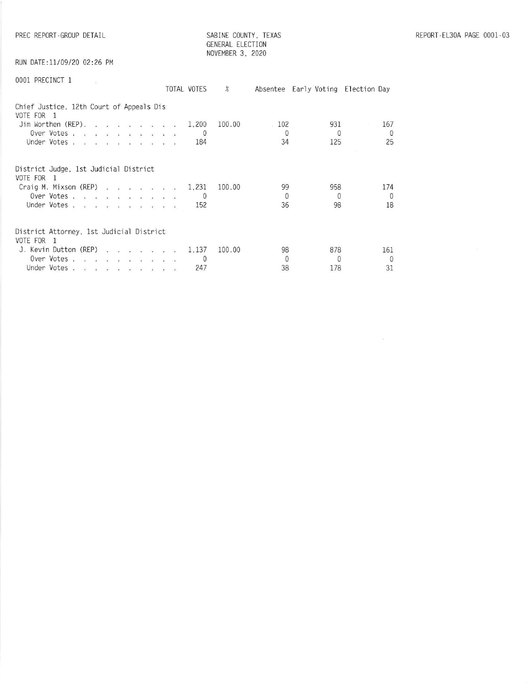RUN DATE:11/09/20 02:26 PM

| 0001 PRECINCT 1 |  |
|-----------------|--|
|                 |  |

| 0001 PRECINCT 1                                                                                               | TOTAL VOTES              | %      |                               | Absentee Early Voting Election Day |                       |
|---------------------------------------------------------------------------------------------------------------|--------------------------|--------|-------------------------------|------------------------------------|-----------------------|
| Chief Justice, 12th Court of Appeals Dis<br>VOTE FOR 1<br>Jim Worthen (REP).<br>Over Votes<br>Under Votes     | 1,200<br>$\Omega$<br>184 | 100.00 | $\cdot$ 102<br>$\Omega$<br>34 | 931<br>$\Omega$<br>125             | 167<br>$\Omega$<br>25 |
| District Judge, 1st Judicial District<br>VOTE FOR 1<br>Craig M. Mixson (REP)<br>Over Votes<br>Under Votes     | 1,231<br>152             | 100.00 | 99<br>$\theta$<br>36          | 958<br>$\Omega$<br>98              | 174<br>$\Omega$<br>18 |
| District Attorney, 1st Judicial District<br>VOTE FOR 1<br>J. Kevin Dutton (REP)<br>Over Votes.<br>Under Votes | 1.137<br>247             | 100.00 | 98<br>$\theta$<br>38          | 878<br>$\Omega$<br>178             | 161<br>$\Omega$<br>31 |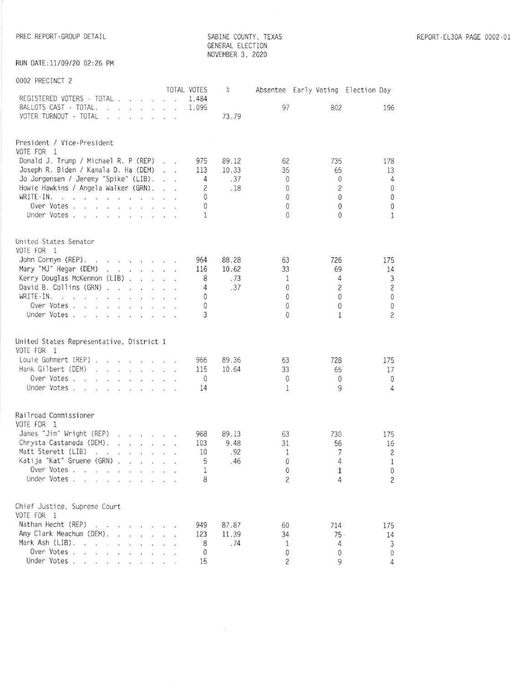SABINE COUNTY, TEXAS GENERAL ELECTION NOVEMBER 3, 2020

RUN DATE:11/09/20 02:26 PM

| 0002 PRECINCT 2                                                                                                                                                                                                                                                  |  |                |       |                            |                                    |                                |
|------------------------------------------------------------------------------------------------------------------------------------------------------------------------------------------------------------------------------------------------------------------|--|----------------|-------|----------------------------|------------------------------------|--------------------------------|
|                                                                                                                                                                                                                                                                  |  | TOTAL VOTES    | $\%$  |                            | Absentee Early Voting Election Day |                                |
| REGISTERED VOTERS · TOTAL                                                                                                                                                                                                                                        |  | 1.484          |       |                            |                                    |                                |
| BALLOTS CAST · TOTAL.                                                                                                                                                                                                                                            |  | 1,095          |       | 97                         | 802                                | 196                            |
| VOTER TURNOUT - TOTAL                                                                                                                                                                                                                                            |  |                | 73.79 |                            |                                    |                                |
|                                                                                                                                                                                                                                                                  |  |                |       |                            |                                    |                                |
| President / Vice-President                                                                                                                                                                                                                                       |  |                |       |                            |                                    |                                |
| VOTE FOR 1                                                                                                                                                                                                                                                       |  |                |       |                            |                                    |                                |
| Donald J. Trump / Michael R. P (REP)                                                                                                                                                                                                                             |  | 975            | 89.12 | 62                         | 735                                | 178                            |
| Joseph R. Biden / Kamala D. Ha (DEM)                                                                                                                                                                                                                             |  | 113            | 10.33 | 35                         | 65                                 | 13                             |
| Jo Jorgensen / Jeremy "Spike" (LIB).                                                                                                                                                                                                                             |  | $\overline{4}$ | .37   | $\mathbf{0}$               | $\mathbf{0}$                       | $\overline{4}$                 |
| Howie Hawkins / Angela Walker (GRN).                                                                                                                                                                                                                             |  | $\overline{c}$ | .18   | $\mathbf{0}$               | $\overline{c}$                     | $\bf 0$                        |
| WRITE-IN.                                                                                                                                                                                                                                                        |  | $\Omega$       |       | $\mathbf{0}$               | $\theta$                           | $\bf 0$                        |
| Over Votes                                                                                                                                                                                                                                                       |  | $\theta$       |       | $\theta$                   | $\mathbf{0}$                       | $\bf 0$                        |
| Under Votes                                                                                                                                                                                                                                                      |  | 1              |       | $\mathbf{0}$               | $\mathbf{0}$                       | $\mathbf{1}$                   |
|                                                                                                                                                                                                                                                                  |  |                |       |                            |                                    |                                |
| United States Senator                                                                                                                                                                                                                                            |  |                |       |                            |                                    |                                |
| VOTE FOR 1                                                                                                                                                                                                                                                       |  |                |       |                            |                                    |                                |
| John Cornyn (REP).                                                                                                                                                                                                                                               |  | 964            | 88.28 | 63                         | 726                                | 175                            |
| Mary "MJ" Hegar (DEM)                                                                                                                                                                                                                                            |  | 116            | 10.62 | 33                         | 69                                 | 14                             |
| Kerry Douglas McKennon (LIB)                                                                                                                                                                                                                                     |  | 8              | .73   | 1                          | 4                                  | $\mathfrak{Z}$                 |
| David B. Collins (GRN)                                                                                                                                                                                                                                           |  | 4              | .37   | $\theta$                   | $\overline{c}$                     | $\overline{c}$                 |
| WRITE-IN.                                                                                                                                                                                                                                                        |  | $\Omega$       |       | $\theta$                   | $\Omega$                           | $\bf 0$                        |
| Over Votes                                                                                                                                                                                                                                                       |  | $\theta$       |       | $\theta$                   | $\theta$                           | $\mathbb O$                    |
| Under Votes                                                                                                                                                                                                                                                      |  | 3              |       | $\Omega$                   | 1                                  | $\overline{c}$                 |
|                                                                                                                                                                                                                                                                  |  |                |       |                            |                                    |                                |
|                                                                                                                                                                                                                                                                  |  |                |       |                            |                                    |                                |
| United States Representative, District 1<br>VOTE FOR 1                                                                                                                                                                                                           |  |                |       |                            |                                    |                                |
| Louie Gohmert (REP)                                                                                                                                                                                                                                              |  | 966            | 89.36 | 63                         | 728                                | 175                            |
| Hank Gilbert (DEM)                                                                                                                                                                                                                                               |  | 115            | 10.64 | 33                         | 65                                 | 17                             |
| Over Votes                                                                                                                                                                                                                                                       |  | $\theta$       |       | $\theta$                   | $\theta$                           | $\mathbf{0}$                   |
| Under Votes                                                                                                                                                                                                                                                      |  | 14             |       | 1                          | 9                                  | 4                              |
|                                                                                                                                                                                                                                                                  |  |                |       |                            |                                    |                                |
|                                                                                                                                                                                                                                                                  |  |                |       |                            |                                    |                                |
| Railroad Commissioner                                                                                                                                                                                                                                            |  |                |       |                            |                                    |                                |
| VOTE FOR 1                                                                                                                                                                                                                                                       |  |                |       |                            |                                    |                                |
| James "Jim" Wright (REP)                                                                                                                                                                                                                                         |  | 968            | 89.13 | 63                         | 730                                | 175                            |
| Chrysta Castaneda (DEM).                                                                                                                                                                                                                                         |  | 103            | 9.48  | 31                         | 56                                 | 16                             |
| Matt Sterett (LIB)<br>$\label{eq:3.1} \begin{array}{cccccccccccccc} \mathbf{W} & \mathbf{W} & \mathbf{W} & \mathbf{W} & \mathbf{W} & \mathbf{W} & \mathbf{W} & \mathbf{W} & \mathbf{W} & \mathbf{W} \end{array}$                                                 |  | 10             | .92   | 1                          | 7                                  | $\overline{c}$                 |
| Katija "Kat" Gruene (GRN)<br>Over Votes.                                                                                                                                                                                                                         |  | 5              | .46   | $\Omega$                   | $\overline{4}$                     | $\mathbf{1}$                   |
| Under Votes.<br>and the con-                                                                                                                                                                                                                                     |  | 1<br>8         |       | $\theta$<br>$\overline{c}$ | 1<br>4                             | $\mathbf{0}$<br>$\overline{c}$ |
|                                                                                                                                                                                                                                                                  |  |                |       |                            |                                    |                                |
|                                                                                                                                                                                                                                                                  |  |                |       |                            |                                    |                                |
| Chief Justice, Supreme Court                                                                                                                                                                                                                                     |  |                |       |                            |                                    |                                |
| VOTE FOR 1                                                                                                                                                                                                                                                       |  |                |       |                            |                                    |                                |
| Nathan Hecht (REP).<br>$\begin{array}{ccccccccc} \mathbb{R}^2 & & \mathbb{R}^2 & & \mathbb{R}^2 & & \mathbb{R}^2 & & \mathbb{R}^2 \end{array}$<br>$\dddot{\bullet}$                                                                                              |  | 949            | 87.87 | 60                         | 714                                | 175                            |
| Amy Clark Meachum (DEM).<br><b>Contract Contract Contract Contract Contract Contract Contract Contract Contract Contract Contract Contract Contract Contract Contract Contract Contract Contract Contract Contract Contract Contract Contract Contract Contr</b> |  | 123            | 11.39 | 34                         | 75.                                | 14                             |
| Mark Ash (LIB).<br>$\sim$<br>$\sim$                                                                                                                                                                                                                              |  | 8              | .74   | 1                          | 4                                  | $\mathfrak{Z}$                 |
| Over Votes.<br>.                                                                                                                                                                                                                                                 |  | 0              |       | $\theta$                   | $\theta$                           | $\mathbf 0$                    |
| Under Votes                                                                                                                                                                                                                                                      |  | 15             |       | $\overline{c}$             | 9                                  | $\overline{4}$                 |

 $\sim$